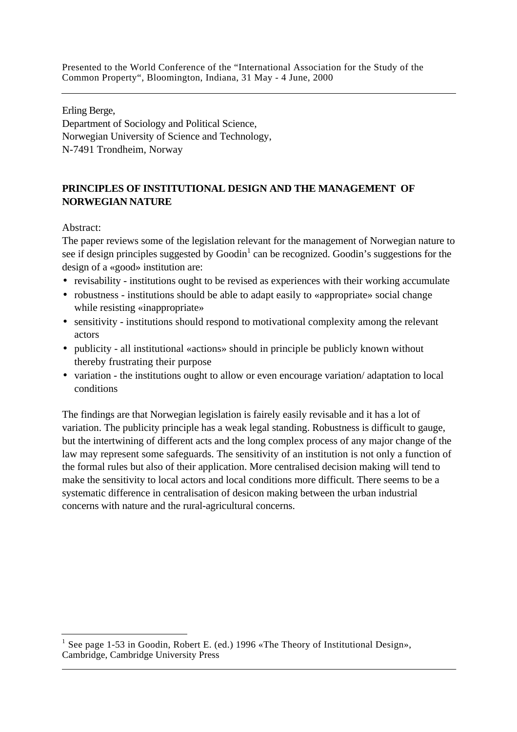Erling Berge, Department of Sociology and Political Science, Norwegian University of Science and Technology, N-7491 Trondheim, Norway

# **PRINCIPLES OF INSTITUTIONAL DESIGN AND THE MANAGEMENT OF NORWEGIAN NATURE**

Abstract:

 $\overline{a}$ 

The paper reviews some of the legislation relevant for the management of Norwegian nature to see if design principles suggested by Goodin<sup>1</sup> can be recognized. Goodin's suggestions for the design of a «good» institution are:

- revisability institutions ought to be revised as experiences with their working accumulate
- robustness institutions should be able to adapt easily to «appropriate» social change while resisting «inappropriate»
- sensitivity institutions should respond to motivational complexity among the relevant actors
- publicity all institutional «actions» should in principle be publicly known without thereby frustrating their purpose
- variation the institutions ought to allow or even encourage variation/ adaptation to local conditions

The findings are that Norwegian legislation is fairely easily revisable and it has a lot of variation. The publicity principle has a weak legal standing. Robustness is difficult to gauge, but the intertwining of different acts and the long complex process of any major change of the law may represent some safeguards. The sensitivity of an institution is not only a function of the formal rules but also of their application. More centralised decision making will tend to make the sensitivity to local actors and local conditions more difficult. There seems to be a systematic difference in centralisation of desicon making between the urban industrial concerns with nature and the rural-agricultural concerns.

 $\overline{a}$ 1 See page 1-53 in Goodin, Robert E. (ed.) 1996 «The Theory of Institutional Design», Cambridge, Cambridge University Press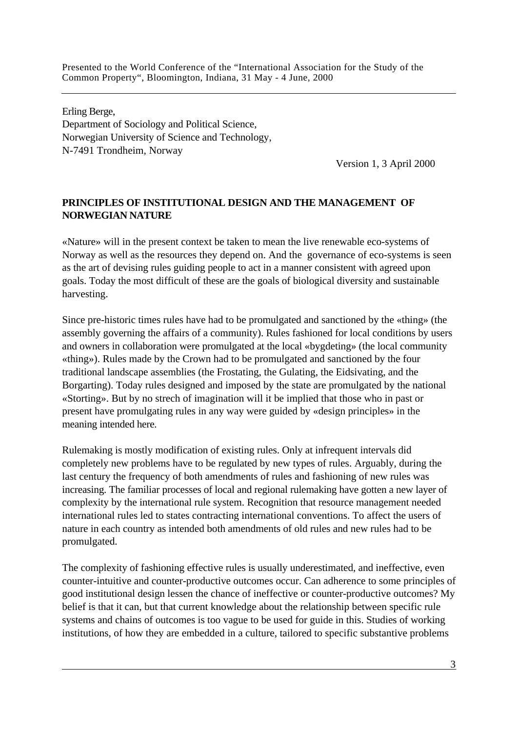Erling Berge, Department of Sociology and Political Science, Norwegian University of Science and Technology, N-7491 Trondheim, Norway

Version 1, 3 April 2000

### **PRINCIPLES OF INSTITUTIONAL DESIGN AND THE MANAGEMENT OF NORWEGIAN NATURE**

«Nature» will in the present context be taken to mean the live renewable eco-systems of Norway as well as the resources they depend on. And the governance of eco-systems is seen as the art of devising rules guiding people to act in a manner consistent with agreed upon goals. Today the most difficult of these are the goals of biological diversity and sustainable harvesting.

Since pre-historic times rules have had to be promulgated and sanctioned by the «thing» (the assembly governing the affairs of a community). Rules fashioned for local conditions by users and owners in collaboration were promulgated at the local «bygdeting» (the local community «thing»). Rules made by the Crown had to be promulgated and sanctioned by the four traditional landscape assemblies (the Frostating, the Gulating, the Eidsivating, and the Borgarting). Today rules designed and imposed by the state are promulgated by the national «Storting». But by no strech of imagination will it be implied that those who in past or present have promulgating rules in any way were guided by «design principles» in the meaning intended here.

Rulemaking is mostly modification of existing rules. Only at infrequent intervals did completely new problems have to be regulated by new types of rules. Arguably, during the last century the frequency of both amendments of rules and fashioning of new rules was increasing. The familiar processes of local and regional rulemaking have gotten a new layer of complexity by the international rule system. Recognition that resource management needed international rules led to states contracting international conventions. To affect the users of nature in each country as intended both amendments of old rules and new rules had to be promulgated.

The complexity of fashioning effective rules is usually underestimated, and ineffective, even counter-intuitive and counter-productive outcomes occur. Can adherence to some principles of good institutional design lessen the chance of ineffective or counter-productive outcomes? My belief is that it can, but that current knowledge about the relationship between specific rule systems and chains of outcomes is too vague to be used for guide in this. Studies of working institutions, of how they are embedded in a culture, tailored to specific substantive problems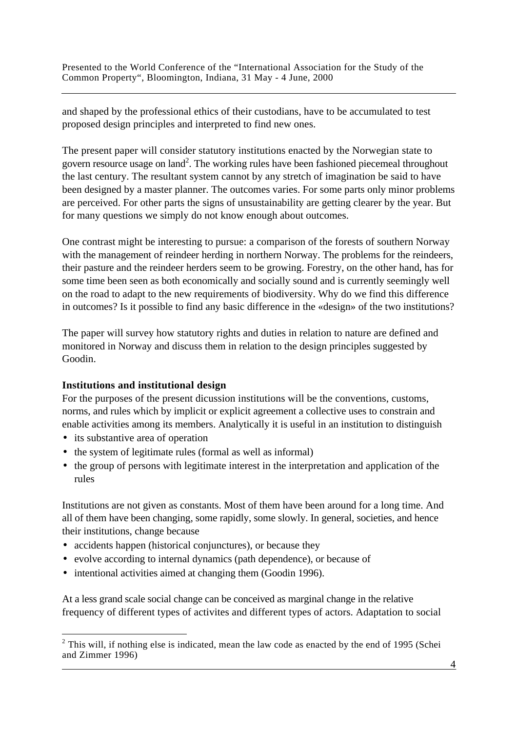and shaped by the professional ethics of their custodians, have to be accumulated to test proposed design principles and interpreted to find new ones.

The present paper will consider statutory institutions enacted by the Norwegian state to govern resource usage on land<sup>2</sup>. The working rules have been fashioned piecemeal throughout the last century. The resultant system cannot by any stretch of imagination be said to have been designed by a master planner. The outcomes varies. For some parts only minor problems are perceived. For other parts the signs of unsustainability are getting clearer by the year. But for many questions we simply do not know enough about outcomes.

One contrast might be interesting to pursue: a comparison of the forests of southern Norway with the management of reindeer herding in northern Norway. The problems for the reindeers, their pasture and the reindeer herders seem to be growing. Forestry, on the other hand, has for some time been seen as both economically and socially sound and is currently seemingly well on the road to adapt to the new requirements of biodiversity. Why do we find this difference in outcomes? Is it possible to find any basic difference in the «design» of the two institutions?

The paper will survey how statutory rights and duties in relation to nature are defined and monitored in Norway and discuss them in relation to the design principles suggested by Goodin.

### **Institutions and institutional design**

For the purposes of the present dicussion institutions will be the conventions, customs, norms, and rules which by implicit or explicit agreement a collective uses to constrain and enable activities among its members. Analytically it is useful in an institution to distinguish

• its substantive area of operation

 $\overline{a}$ 

- the system of legitimate rules (formal as well as informal)
- the group of persons with legitimate interest in the interpretation and application of the rules

Institutions are not given as constants. Most of them have been around for a long time. And all of them have been changing, some rapidly, some slowly. In general, societies, and hence their institutions, change because

- accidents happen (historical conjunctures), or because they
- evolve according to internal dynamics (path dependence), or because of
- intentional activities aimed at changing them (Goodin 1996).

At a less grand scale social change can be conceived as marginal change in the relative frequency of different types of activites and different types of actors. Adaptation to social

 $\overline{4}$  $2$  This will, if nothing else is indicated, mean the law code as enacted by the end of 1995 (Schei and Zimmer 1996)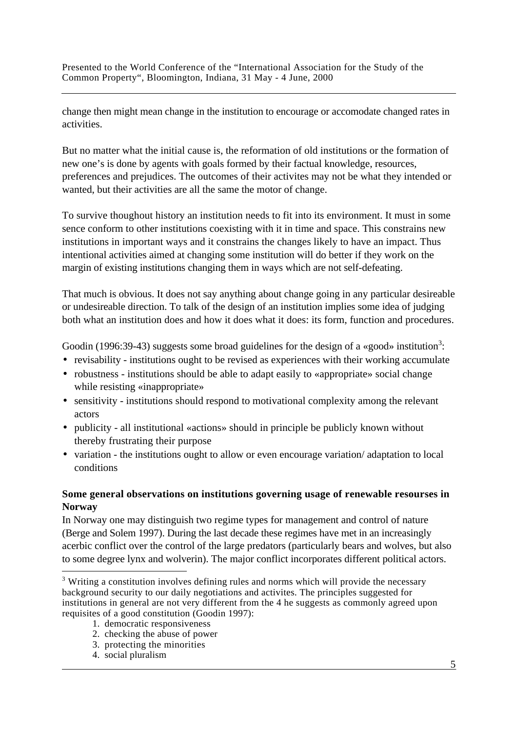change then might mean change in the institution to encourage or accomodate changed rates in activities.

But no matter what the initial cause is, the reformation of old institutions or the formation of new one's is done by agents with goals formed by their factual knowledge, resources, preferences and prejudices. The outcomes of their activites may not be what they intended or wanted, but their activities are all the same the motor of change.

To survive thoughout history an institution needs to fit into its environment. It must in some sence conform to other institutions coexisting with it in time and space. This constrains new institutions in important ways and it constrains the changes likely to have an impact. Thus intentional activities aimed at changing some institution will do better if they work on the margin of existing institutions changing them in ways which are not self-defeating.

That much is obvious. It does not say anything about change going in any particular desireable or undesireable direction. To talk of the design of an institution implies some idea of judging both what an institution does and how it does what it does: its form, function and procedures.

Goodin (1996:39-43) suggests some broad guidelines for the design of a «good» institution<sup>3</sup>:

- revisability institutions ought to be revised as experiences with their working accumulate
- robustness institutions should be able to adapt easily to «appropriate» social change while resisting «inappropriate»
- sensitivity institutions should respond to motivational complexity among the relevant actors
- publicity all institutional «actions» should in principle be publicly known without thereby frustrating their purpose
- variation the institutions ought to allow or even encourage variation/ adaptation to local conditions

## **Some general observations on institutions governing usage of renewable resourses in Norway**

In Norway one may distinguish two regime types for management and control of nature (Berge and Solem 1997). During the last decade these regimes have met in an increasingly acerbic conflict over the control of the large predators (particularly bears and wolves, but also to some degree lynx and wolverin). The major conflict incorporates different political actors.

- 1. democratic responsiveness
- 2. checking the abuse of power
- 3. protecting the minorities
- $\frac{1}{5}$ 4. social pluralism

 $3$  Writing a constitution involves defining rules and norms which will provide the necessary background security to our daily negotiations and activites. The principles suggested for institutions in general are not very different from the 4 he suggests as commonly agreed upon requisites of a good constitution (Goodin 1997):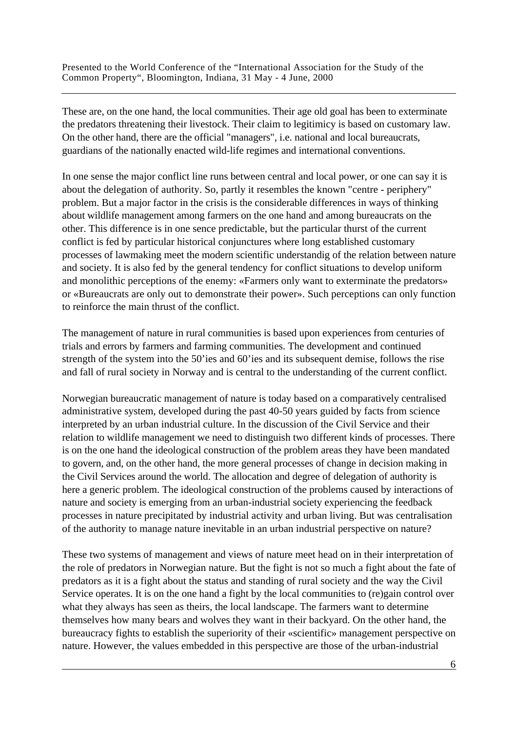These are, on the one hand, the local communities. Their age old goal has been to exterminate the predators threatening their livestock. Their claim to legitimicy is based on customary law. On the other hand, there are the official "managers", i.e. national and local bureaucrats, guardians of the nationally enacted wild-life regimes and international conventions.

In one sense the major conflict line runs between central and local power, or one can say it is about the delegation of authority. So, partly it resembles the known "centre - periphery" problem. But a major factor in the crisis is the considerable differences in ways of thinking about wildlife management among farmers on the one hand and among bureaucrats on the other. This difference is in one sence predictable, but the particular thurst of the current conflict is fed by particular historical conjunctures where long established customary processes of lawmaking meet the modern scientific understandig of the relation between nature and society. It is also fed by the general tendency for conflict situations to develop uniform and monolithic perceptions of the enemy: «Farmers only want to exterminate the predators» or «Bureaucrats are only out to demonstrate their power». Such perceptions can only function to reinforce the main thrust of the conflict.

The management of nature in rural communities is based upon experiences from centuries of trials and errors by farmers and farming communities. The development and continued strength of the system into the 50'ies and 60'ies and its subsequent demise, follows the rise and fall of rural society in Norway and is central to the understanding of the current conflict.

Norwegian bureaucratic management of nature is today based on a comparatively centralised administrative system, developed during the past 40-50 years guided by facts from science interpreted by an urban industrial culture. In the discussion of the Civil Service and their relation to wildlife management we need to distinguish two different kinds of processes. There is on the one hand the ideological construction of the problem areas they have been mandated to govern, and, on the other hand, the more general processes of change in decision making in the Civil Services around the world. The allocation and degree of delegation of authority is here a generic problem. The ideological construction of the problems caused by interactions of nature and society is emerging from an urban-industrial society experiencing the feedback processes in nature precipitated by industrial activity and urban living. But was centralisation of the authority to manage nature inevitable in an urban industrial perspective on nature?

These two systems of management and views of nature meet head on in their interpretation of the role of predators in Norwegian nature. But the fight is not so much a fight about the fate of predators as it is a fight about the status and standing of rural society and the way the Civil Service operates. It is on the one hand a fight by the local communities to (re)gain control over what they always has seen as theirs, the local landscape. The farmers want to determine themselves how many bears and wolves they want in their backyard. On the other hand, the bureaucracy fights to establish the superiority of their «scientific» management perspective on nature. However, the values embedded in this perspective are those of the urban-industrial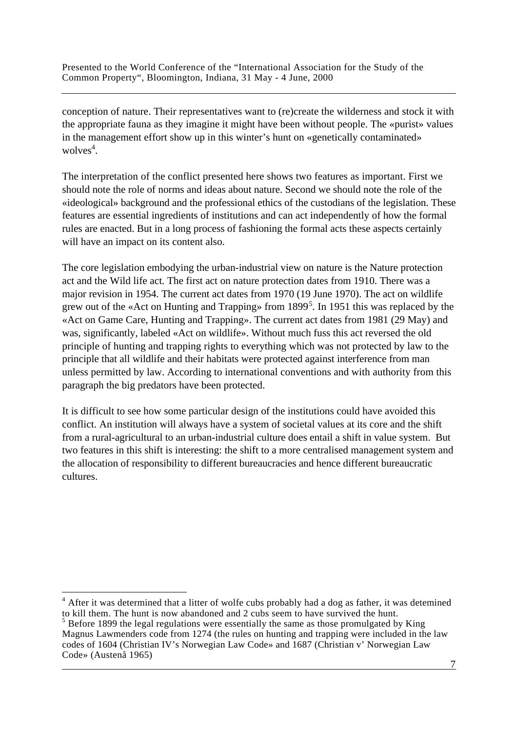conception of nature. Their representatives want to (re)create the wilderness and stock it with the appropriate fauna as they imagine it might have been without people. The «purist» values in the management effort show up in this winter's hunt on «genetically contaminated» wolves<sup>4</sup>.

The interpretation of the conflict presented here shows two features as important. First we should note the role of norms and ideas about nature. Second we should note the role of the «ideological» background and the professional ethics of the custodians of the legislation. These features are essential ingredients of institutions and can act independently of how the formal rules are enacted. But in a long process of fashioning the formal acts these aspects certainly will have an impact on its content also.

The core legislation embodying the urban-industrial view on nature is the Nature protection act and the Wild life act. The first act on nature protection dates from 1910. There was a major revision in 1954. The current act dates from 1970 (19 June 1970). The act on wildlife grew out of the «Act on Hunting and Trapping» from 1899<sup>5</sup>. In 1951 this was replaced by the «Act on Game Care, Hunting and Trapping». The current act dates from 1981 (29 May) and was, significantly, labeled «Act on wildlife». Without much fuss this act reversed the old principle of hunting and trapping rights to everything which was not protected by law to the principle that all wildlife and their habitats were protected against interference from man unless permitted by law. According to international conventions and with authority from this paragraph the big predators have been protected.

It is difficult to see how some particular design of the institutions could have avoided this conflict. An institution will always have a system of societal values at its core and the shift from a rural-agricultural to an urban-industrial culture does entail a shift in value system. But two features in this shift is interesting: the shift to a more centralised management system and the allocation of responsibility to different bureaucracies and hence different bureaucratic cultures.

<sup>&</sup>lt;sup>4</sup> After it was determined that a litter of wolfe cubs probably had a dog as father, it was detemined to kill them. The hunt is now abandoned and 2 cubs seem to have survived the hunt.

<sup>&</sup>lt;u>2003: Contract Contract Contract Contract Contract Contract Contract Contract Contract Contract Contract Contract Contract Contract Contract Contract Contract Contract Contract Contract Contract Contract Contract Contract</u>  $<sup>5</sup>$  Before 1899 the legal regulations were essentially the same as those promulgated by King</sup> Magnus Lawmenders code from 1274 (the rules on hunting and trapping were included in the law codes of 1604 (Christian IV's Norwegian Law Code» and 1687 (Christian v' Norwegian Law Code» (Austenå 1965)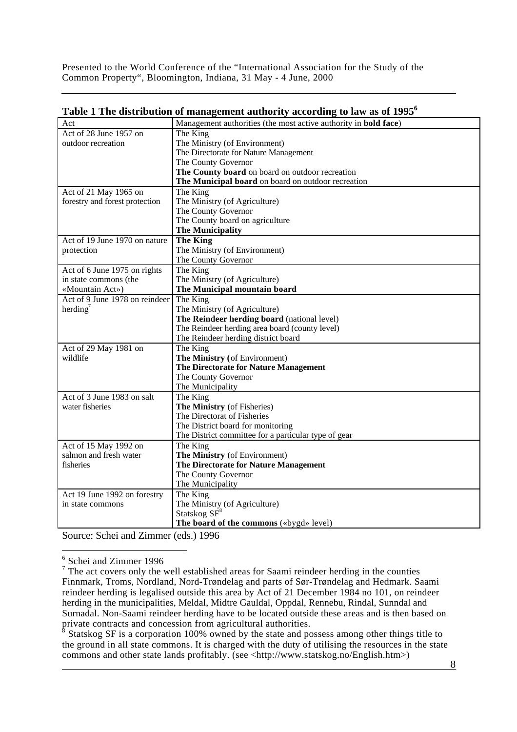| Act                            | Management authorities (the most active authority in <b>bold face</b> ) |
|--------------------------------|-------------------------------------------------------------------------|
| Act of 28 June 1957 on         | The King                                                                |
| outdoor recreation             | The Ministry (of Environment)                                           |
|                                | The Directorate for Nature Management                                   |
|                                | The County Governor                                                     |
|                                | The County board on board on outdoor recreation                         |
|                                | The Municipal board on board on outdoor recreation                      |
| Act of 21 May 1965 on          | The King                                                                |
| forestry and forest protection | The Ministry (of Agriculture)                                           |
|                                | The County Governor                                                     |
|                                | The County board on agriculture                                         |
|                                | <b>The Municipality</b>                                                 |
| Act of 19 June 1970 on nature  | <b>The King</b>                                                         |
| protection                     | The Ministry (of Environment)                                           |
|                                | The County Governor                                                     |
| Act of 6 June 1975 on rights   | The King                                                                |
| in state commons (the          | The Ministry (of Agriculture)                                           |
| «Mountain Act»)                | The Municipal mountain board                                            |
| Act of 9 June 1978 on reindeer | The King                                                                |
| herding <sup>7</sup>           | The Ministry (of Agriculture)                                           |
|                                | The Reindeer herding board (national level)                             |
|                                | The Reindeer herding area board (county level)                          |
|                                | The Reindeer herding district board                                     |
| Act of 29 May 1981 on          | The King                                                                |
| wildlife                       | The Ministry (of Environment)                                           |
|                                | The Directorate for Nature Management                                   |
|                                | The County Governor                                                     |
|                                | The Municipality                                                        |
| Act of 3 June 1983 on salt     | The King                                                                |
| water fisheries                | The Ministry (of Fisheries)                                             |
|                                | The Directorat of Fisheries                                             |
|                                | The District board for monitoring                                       |
|                                | The District committee for a particular type of gear                    |
| Act of 15 May 1992 on          | The King                                                                |
| salmon and fresh water         | The Ministry (of Environment)                                           |
| fisheries                      | The Directorate for Nature Management                                   |
|                                | The County Governor                                                     |
|                                | The Municipality                                                        |
| Act 19 June 1992 on forestry   | The King                                                                |
| in state commons               | The Ministry (of Agriculture)                                           |
|                                | Statskog $SF^8$                                                         |
|                                | The board of the commons («bygd» level)                                 |

| Table 1 The distribution of management authority according to law as of 1995 $^6$ |  |  |
|-----------------------------------------------------------------------------------|--|--|
|                                                                                   |  |  |

Source: Schei and Zimmer (eds.) 1996

 8 Statskog SF is a corporation 100% owned by the state and possess among other things title to the ground in all state commons. It is charged with the duty of utilising the resources in the state commons and other state lands profitably. (see <http://www.statskog.no/English.htm>)

<sup>&</sup>lt;sup>6</sup><br>
<sup>6</sup> Schei and Zimmer 1996<br>
<sup>7</sup> The act covers only the well established areas for Saami reindeer herding in the counties Finnmark, Troms, Nordland, Nord-Trøndelag and parts of Sør-Trøndelag and Hedmark. Saami reindeer herding is legalised outside this area by Act of 21 December 1984 no 101, on reindeer herding in the municipalities, Meldal, Midtre Gauldal, Oppdal, Rennebu, Rindal, Sunndal and Surnadal. Non-Saami reindeer herding have to be located outside these areas and is then based on private contracts and concession from agricultural authorities.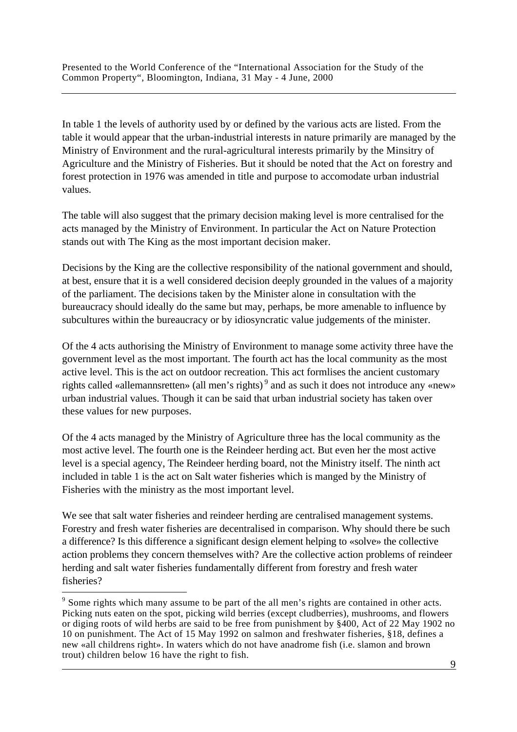In table 1 the levels of authority used by or defined by the various acts are listed. From the table it would appear that the urban-industrial interests in nature primarily are managed by the Ministry of Environment and the rural-agricultural interests primarily by the Minsitry of Agriculture and the Ministry of Fisheries. But it should be noted that the Act on forestry and forest protection in 1976 was amended in title and purpose to accomodate urban industrial values.

The table will also suggest that the primary decision making level is more centralised for the acts managed by the Ministry of Environment. In particular the Act on Nature Protection stands out with The King as the most important decision maker.

Decisions by the King are the collective responsibility of the national government and should, at best, ensure that it is a well considered decision deeply grounded in the values of a majority of the parliament. The decisions taken by the Minister alone in consultation with the bureaucracy should ideally do the same but may, perhaps, be more amenable to influence by subcultures within the bureaucracy or by idiosyncratic value judgements of the minister.

Of the 4 acts authorising the Ministry of Environment to manage some activity three have the government level as the most important. The fourth act has the local community as the most active level. This is the act on outdoor recreation. This act formlises the ancient customary rights called «allemannsretten» (all men's rights)<sup>9</sup> and as such it does not introduce any «new» urban industrial values. Though it can be said that urban industrial society has taken over these values for new purposes.

Of the 4 acts managed by the Ministry of Agriculture three has the local community as the most active level. The fourth one is the Reindeer herding act. But even her the most active level is a special agency, The Reindeer herding board, not the Ministry itself. The ninth act included in table 1 is the act on Salt water fisheries which is manged by the Ministry of Fisheries with the ministry as the most important level.

We see that salt water fisheries and reindeer herding are centralised management systems. Forestry and fresh water fisheries are decentralised in comparison. Why should there be such a difference? Is this difference a significant design element helping to «solve» the collective action problems they concern themselves with? Are the collective action problems of reindeer herding and salt water fisheries fundamentally different from forestry and fresh water fisheries?

 <sup>9</sup>   $9^9$  Some rights which many assume to be part of the all men's rights are contained in other acts. Picking nuts eaten on the spot, picking wild berries (except cludberries), mushrooms, and flowers or diging roots of wild herbs are said to be free from punishment by §400, Act of 22 May 1902 no 10 on punishment. The Act of 15 May 1992 on salmon and freshwater fisheries, §18, defines a new «all childrens right». In waters which do not have anadrome fish (i.e. slamon and brown trout) children below 16 have the right to fish.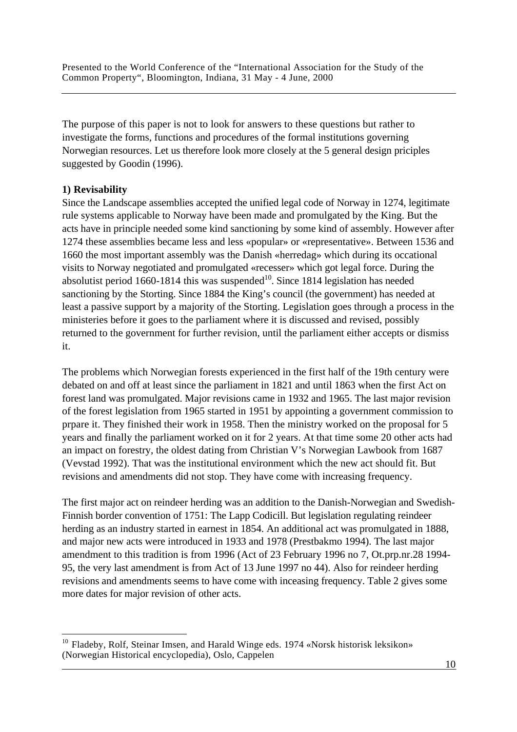The purpose of this paper is not to look for answers to these questions but rather to investigate the forms, functions and procedures of the formal institutions governing Norwegian resources. Let us therefore look more closely at the 5 general design priciples suggested by Goodin (1996).

### **1) Revisability**

 $\overline{a}$ 

Since the Landscape assemblies accepted the unified legal code of Norway in 1274, legitimate rule systems applicable to Norway have been made and promulgated by the King. But the acts have in principle needed some kind sanctioning by some kind of assembly. However after 1274 these assemblies became less and less «popular» or «representative». Between 1536 and 1660 the most important assembly was the Danish «herredag» which during its occational visits to Norway negotiated and promulgated «recesser» which got legal force. During the absolutist period  $1660-1814$  this was suspended<sup>10</sup>. Since 1814 legislation has needed sanctioning by the Storting. Since 1884 the King's council (the government) has needed at least a passive support by a majority of the Storting. Legislation goes through a process in the ministeries before it goes to the parliament where it is discussed and revised, possibly returned to the government for further revision, until the parliament either accepts or dismiss it.

The problems which Norwegian forests experienced in the first half of the 19th century were debated on and off at least since the parliament in 1821 and until 1863 when the first Act on forest land was promulgated. Major revisions came in 1932 and 1965. The last major revision of the forest legislation from 1965 started in 1951 by appointing a government commission to prpare it. They finished their work in 1958. Then the ministry worked on the proposal for 5 years and finally the parliament worked on it for 2 years. At that time some 20 other acts had an impact on forestry, the oldest dating from Christian V's Norwegian Lawbook from 1687 (Vevstad 1992). That was the institutional environment which the new act should fit. But revisions and amendments did not stop. They have come with increasing frequency.

The first major act on reindeer herding was an addition to the Danish-Norwegian and Swedish-Finnish border convention of 1751: The Lapp Codicill. But legislation regulating reindeer herding as an industry started in earnest in 1854. An additional act was promulgated in 1888, and major new acts were introduced in 1933 and 1978 (Prestbakmo 1994). The last major amendment to this tradition is from 1996 (Act of 23 February 1996 no 7, Ot.prp.nr.28 1994- 95, the very last amendment is from Act of 13 June 1997 no 44). Also for reindeer herding revisions and amendments seems to have come with inceasing frequency. Table 2 gives some more dates for major revision of other acts.

<sup>10</sup> <sup>10</sup> Fladeby, Rolf, Steinar Imsen, and Harald Winge eds. 1974 «Norsk historisk leksikon» (Norwegian Historical encyclopedia), Oslo, Cappelen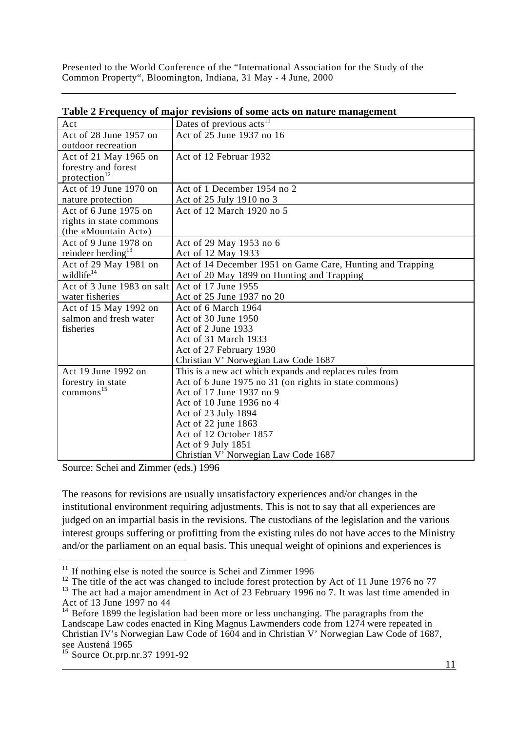| Act                            | Dates of previous acts <sup>11</sup>                       |
|--------------------------------|------------------------------------------------------------|
| Act of 28 June 1957 on         | Act of 25 June 1937 no 16                                  |
| outdoor recreation             |                                                            |
| Act of 21 May 1965 on          | Act of 12 Februar 1932                                     |
| forestry and forest            |                                                            |
| protection <sup>12</sup>       |                                                            |
| Act of 19 June 1970 on         | Act of 1 December 1954 no 2                                |
| nature protection              | Act of 25 July 1910 no 3                                   |
| Act of 6 June 1975 on          | Act of 12 March 1920 no 5                                  |
| rights in state commons        |                                                            |
| (the «Mountain Act»)           |                                                            |
| Act of 9 June 1978 on          | Act of 29 May 1953 no 6                                    |
| reindeer herding <sup>13</sup> | Act of 12 May 1933                                         |
| Act of 29 May 1981 on          | Act of 14 December 1951 on Game Care, Hunting and Trapping |
| wildlife <sup>14</sup>         | Act of 20 May 1899 on Hunting and Trapping                 |
| Act of 3 June 1983 on salt     | Act of 17 June 1955                                        |
| water fisheries                | Act of 25 June 1937 no 20                                  |
| Act of 15 May 1992 on          | Act of 6 March 1964                                        |
| salmon and fresh water         | Act of 30 June 1950                                        |
| fisheries                      | Act of 2 June 1933                                         |
|                                | Act of 31 March 1933                                       |
|                                | Act of 27 February 1930                                    |
|                                | Christian V' Norwegian Law Code 1687                       |
| Act 19 June 1992 on            | This is a new act which expands and replaces rules from    |
| forestry in state              | Act of 6 June 1975 no 31 (on rights in state commons)      |
| $commons$ <sup>15</sup>        | Act of 17 June 1937 no 9                                   |
|                                | Act of 10 June 1936 no 4                                   |
|                                | Act of 23 July 1894                                        |
|                                | Act of 22 june 1863                                        |
|                                | Act of 12 October 1857                                     |
|                                | Act of 9 July 1851                                         |
|                                | Christian V' Norwegian Law Code 1687                       |

**Table 2 Frequency of major revisions of some acts on nature management**

Source: Schei and Zimmer (eds.) 1996

The reasons for revisions are usually unsatisfactory experiences and/or changes in the institutional environment requiring adjustments. This is not to say that all experiences are judged on an impartial basis in the revisions. The custodians of the legislation and the various interest groups suffering or profitting from the existing rules do not have acces to the Ministry and/or the parliament on an equal basis. This unequal weight of opinions and experiences is

 $11$  If nothing else is noted the source is Schei and Zimmer 1996

<sup>&</sup>lt;sup>12</sup> The title of the act was changed to include forest protection by Act of 11 June 1976 no 77

<sup>&</sup>lt;sup>13</sup> The act had a major amendment in Act of 23 February 1996 no 7. It was last time amended in Act of 13 June 1997 no 44

 $14$  Before 1899 the legislation had been more or less unchanging. The paragraphs from the Landscape Law codes enacted in King Magnus Lawmenders code from 1274 were repeated in Christian IV's Norwegian Law Code of 1604 and in Christian V' Norwegian Law Code of 1687, see Austenå 1965

<sup>&</sup>lt;u>11 and 2001 and 2001 and 2001 and 2001 and 2001 and 2001 and 2001 and 2001 and 2001 and 2001 and 2001 and 200</u> <sup>15</sup> Source Ot.prp.nr.37 1991-92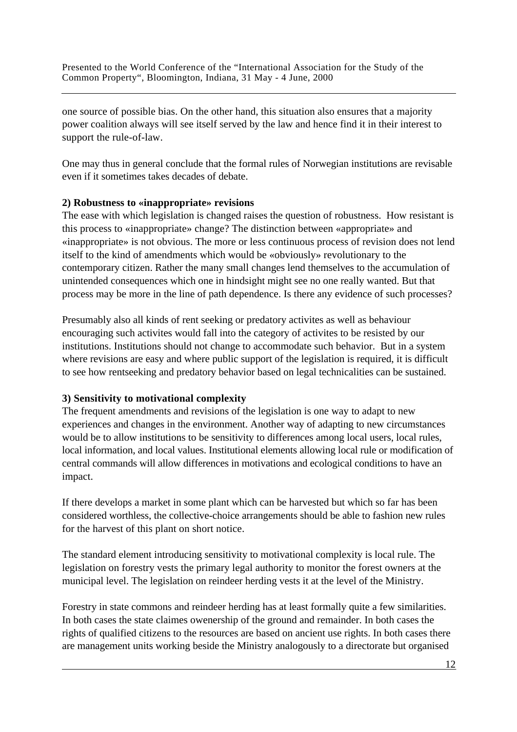one source of possible bias. On the other hand, this situation also ensures that a majority power coalition always will see itself served by the law and hence find it in their interest to support the rule-of-law.

One may thus in general conclude that the formal rules of Norwegian institutions are revisable even if it sometimes takes decades of debate.

### **2) Robustness to «inappropriate» revisions**

The ease with which legislation is changed raises the question of robustness. How resistant is this process to «inappropriate» change? The distinction between «appropriate» and «inappropriate» is not obvious. The more or less continuous process of revision does not lend itself to the kind of amendments which would be «obviously» revolutionary to the contemporary citizen. Rather the many small changes lend themselves to the accumulation of unintended consequences which one in hindsight might see no one really wanted. But that process may be more in the line of path dependence. Is there any evidence of such processes?

Presumably also all kinds of rent seeking or predatory activites as well as behaviour encouraging such activites would fall into the category of activites to be resisted by our institutions. Institutions should not change to accommodate such behavior. But in a system where revisions are easy and where public support of the legislation is required, it is difficult to see how rentseeking and predatory behavior based on legal technicalities can be sustained.

### **3) Sensitivity to motivational complexity**

The frequent amendments and revisions of the legislation is one way to adapt to new experiences and changes in the environment. Another way of adapting to new circumstances would be to allow institutions to be sensitivity to differences among local users, local rules, local information, and local values. Institutional elements allowing local rule or modification of central commands will allow differences in motivations and ecological conditions to have an impact.

If there develops a market in some plant which can be harvested but which so far has been considered worthless, the collective-choice arrangements should be able to fashion new rules for the harvest of this plant on short notice.

The standard element introducing sensitivity to motivational complexity is local rule. The legislation on forestry vests the primary legal authority to monitor the forest owners at the municipal level. The legislation on reindeer herding vests it at the level of the Ministry.

Forestry in state commons and reindeer herding has at least formally quite a few similarities. In both cases the state claimes owenership of the ground and remainder. In both cases the rights of qualified citizens to the resources are based on ancient use rights. In both cases there are management units working beside the Ministry analogously to a directorate but organised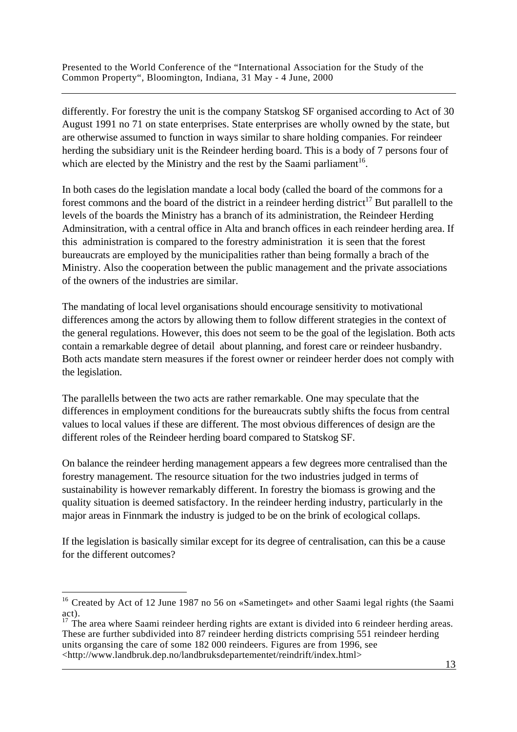differently. For forestry the unit is the company Statskog SF organised according to Act of 30 August 1991 no 71 on state enterprises. State enterprises are wholly owned by the state, but are otherwise assumed to function in ways similar to share holding companies. For reindeer herding the subsidiary unit is the Reindeer herding board. This is a body of 7 persons four of which are elected by the Ministry and the rest by the Saami parliament<sup>16</sup>.

In both cases do the legislation mandate a local body (called the board of the commons for a forest commons and the board of the district in a reindeer herding district<sup>17</sup> But parallell to the levels of the boards the Ministry has a branch of its administration, the Reindeer Herding Adminsitration, with a central office in Alta and branch offices in each reindeer herding area. If this administration is compared to the forestry administration it is seen that the forest bureaucrats are employed by the municipalities rather than being formally a brach of the Ministry. Also the cooperation between the public management and the private associations of the owners of the industries are similar.

The mandating of local level organisations should encourage sensitivity to motivational differences among the actors by allowing them to follow different strategies in the context of the general regulations. However, this does not seem to be the goal of the legislation. Both acts contain a remarkable degree of detail about planning, and forest care or reindeer husbandry. Both acts mandate stern measures if the forest owner or reindeer herder does not comply with the legislation.

The parallells between the two acts are rather remarkable. One may speculate that the differences in employment conditions for the bureaucrats subtly shifts the focus from central values to local values if these are different. The most obvious differences of design are the different roles of the Reindeer herding board compared to Statskog SF.

On balance the reindeer herding management appears a few degrees more centralised than the forestry management. The resource situation for the two industries judged in terms of sustainability is however remarkably different. In forestry the biomass is growing and the quality situation is deemed satisfactory. In the reindeer herding industry, particularly in the major areas in Finnmark the industry is judged to be on the brink of ecological collaps.

If the legislation is basically similar except for its degree of centralisation, can this be a cause for the different outcomes?

<sup>&</sup>lt;sup>16</sup> Created by Act of 12 June 1987 no 56 on «Sametinget» and other Saami legal rights (the Saami act).

<sup>13</sup>  $17$  The area where Saami reindeer herding rights are extant is divided into 6 reindeer herding areas. These are further subdivided into 87 reindeer herding districts comprising 551 reindeer herding units organsing the care of some 182 000 reindeers. Figures are from 1996, see <http://www.landbruk.dep.no/landbruksdepartementet/reindrift/index.html>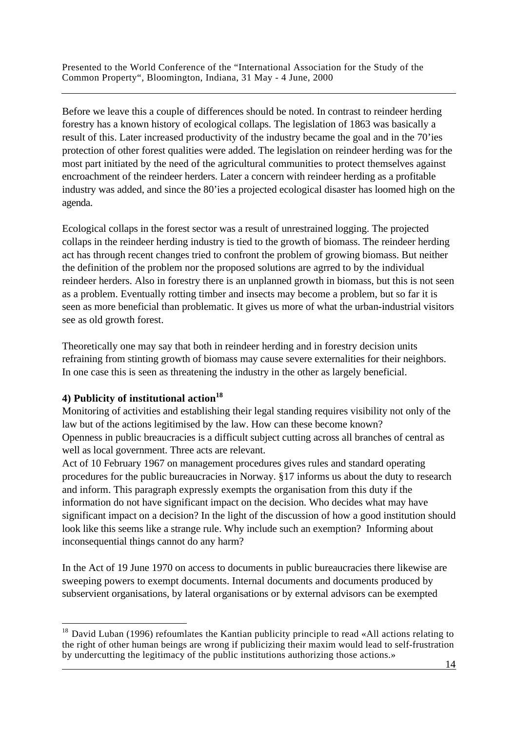Before we leave this a couple of differences should be noted. In contrast to reindeer herding forestry has a known history of ecological collaps. The legislation of 1863 was basically a result of this. Later increased productivity of the industry became the goal and in the 70'ies protection of other forest qualities were added. The legislation on reindeer herding was for the most part initiated by the need of the agricultural communities to protect themselves against encroachment of the reindeer herders. Later a concern with reindeer herding as a profitable industry was added, and since the 80'ies a projected ecological disaster has loomed high on the agenda.

Ecological collaps in the forest sector was a result of unrestrained logging. The projected collaps in the reindeer herding industry is tied to the growth of biomass. The reindeer herding act has through recent changes tried to confront the problem of growing biomass. But neither the definition of the problem nor the proposed solutions are agrred to by the individual reindeer herders. Also in forestry there is an unplanned growth in biomass, but this is not seen as a problem. Eventually rotting timber and insects may become a problem, but so far it is seen as more beneficial than problematic. It gives us more of what the urban-industrial visitors see as old growth forest.

Theoretically one may say that both in reindeer herding and in forestry decision units refraining from stinting growth of biomass may cause severe externalities for their neighbors. In one case this is seen as threatening the industry in the other as largely beneficial.

# **4) Publicity of institutional action<sup>18</sup>**

 $\overline{a}$ 

Monitoring of activities and establishing their legal standing requires visibility not only of the law but of the actions legitimised by the law. How can these become known? Openness in public breaucracies is a difficult subject cutting across all branches of central as well as local government. Three acts are relevant.

Act of 10 February 1967 on management procedures gives rules and standard operating procedures for the public bureaucracies in Norway. §17 informs us about the duty to research and inform. This paragraph expressly exempts the organisation from this duty if the information do not have significant impact on the decision. Who decides what may have significant impact on a decision? In the light of the discussion of how a good institution should look like this seems like a strange rule. Why include such an exemption? Informing about inconsequential things cannot do any harm?

In the Act of 19 June 1970 on access to documents in public bureaucracies there likewise are sweeping powers to exempt documents. Internal documents and documents produced by subservient organisations, by lateral organisations or by external advisors can be exempted

 <sup>14</sup>   $18$  David Luban (1996) refoumlates the Kantian publicity principle to read «All actions relating to the right of other human beings are wrong if publicizing their maxim would lead to self-frustration by undercutting the legitimacy of the public institutions authorizing those actions.»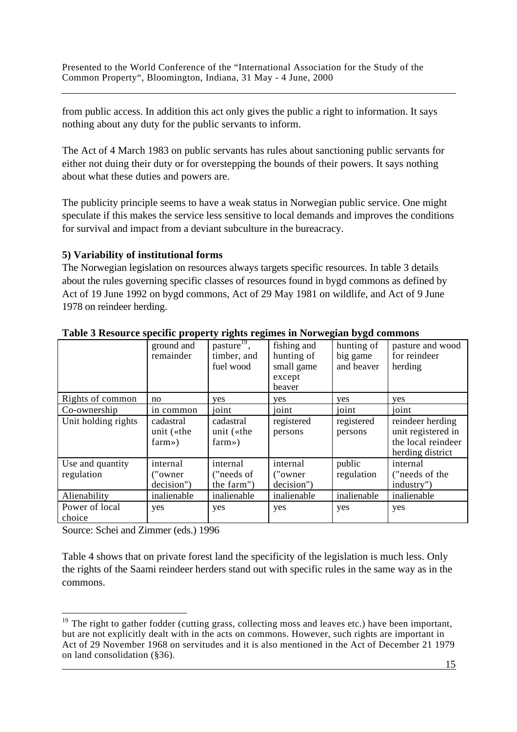from public access. In addition this act only gives the public a right to information. It says nothing about any duty for the public servants to inform.

The Act of 4 March 1983 on public servants has rules about sanctioning public servants for either not duing their duty or for overstepping the bounds of their powers. It says nothing about what these duties and powers are.

The publicity principle seems to have a weak status in Norwegian public service. One might speculate if this makes the service less sensitive to local demands and improves the conditions for survival and impact from a deviant subculture in the bureacracy.

### **5) Variability of institutional forms**

The Norwegian legislation on resources always targets specific resources. In table 3 details about the rules governing specific classes of resources found in bygd commons as defined by Act of 19 June 1992 on bygd commons, Act of 29 May 1981 on wildlife, and Act of 9 June 1978 on reindeer herding.

| Twore of the source specific property regains regained in Fig. s gain $\sigma_j$ gar commons |                                     |                                                                |                                                             |                                      |                                                                                  |
|----------------------------------------------------------------------------------------------|-------------------------------------|----------------------------------------------------------------|-------------------------------------------------------------|--------------------------------------|----------------------------------------------------------------------------------|
|                                                                                              | ground and<br>remainder             | $\overline{\text{pasture}^{19}}$ ,<br>timber, and<br>fuel wood | fishing and<br>hunting of<br>small game<br>except<br>beaver | hunting of<br>big game<br>and beaver | pasture and wood<br>for reindeer<br>herding                                      |
| Rights of common                                                                             | no                                  | yes                                                            | yes                                                         | yes                                  | yes                                                                              |
| Co-ownership                                                                                 | in common                           | joint                                                          | joint                                                       | joint                                | joint                                                                            |
| Unit holding rights                                                                          | cadastral<br>unit («the<br>farm)    | cadastral<br>unit («the<br>farm)                               | registered<br>persons                                       | registered<br>persons                | reindeer herding<br>unit registered in<br>the local reindeer<br>herding district |
| Use and quantity<br>regulation                                                               | internal<br>("owner")<br>decision") | internal<br>("needs of<br>the farm")                           | internal<br>("owner")<br>decision")                         | public<br>regulation                 | internal<br>("needs of the<br>industry")                                         |
| Alienability                                                                                 | inalienable                         | inalienable                                                    | inalienable                                                 | inalienable                          | inalienable                                                                      |
| Power of local<br>choice                                                                     | yes                                 | yes                                                            | yes                                                         | yes                                  | yes                                                                              |

#### **Table 3 Resource specific property rights regimes in Norwegian bygd commons**

Source: Schei and Zimmer (eds.) 1996

 $\overline{a}$ 

Table 4 shows that on private forest land the specificity of the legislation is much less. Only the rights of the Saami reindeer herders stand out with specific rules in the same way as in the commons.

 $\frac{15}{2}$ <sup>19</sup> The right to gather fodder (cutting grass, collecting moss and leaves etc.) have been important, but are not explicitly dealt with in the acts on commons. However, such rights are important in Act of 29 November 1968 on servitudes and it is also mentioned in the Act of December 21 1979 on land consolidation (§36).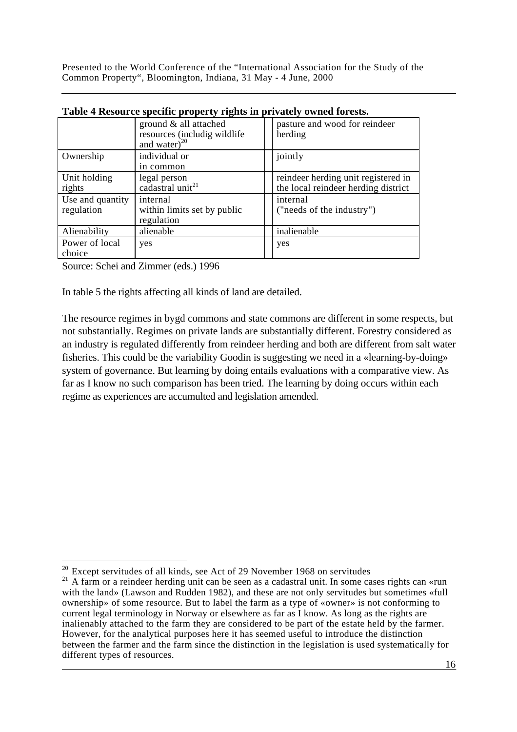| Twore a recover be opening property regards in privately $\sigma$ which for coupl |                                                                              |                                                                            |  |  |  |
|-----------------------------------------------------------------------------------|------------------------------------------------------------------------------|----------------------------------------------------------------------------|--|--|--|
|                                                                                   | ground & all attached<br>resources (includig wildlife)<br>and water) $^{20}$ | pasture and wood for reindeer<br>herding                                   |  |  |  |
| Ownership                                                                         | individual or<br>in common                                                   | jointly                                                                    |  |  |  |
| Unit holding<br>rights                                                            | legal person<br>cadastral unit <sup>21</sup>                                 | reindeer herding unit registered in<br>the local reindeer herding district |  |  |  |
| Use and quantity<br>regulation                                                    | internal<br>within limits set by public<br>regulation                        | internal<br>("needs of the industry")                                      |  |  |  |
| Alienability                                                                      | alienable                                                                    | inalienable                                                                |  |  |  |
| Power of local<br>choice                                                          | yes                                                                          | yes                                                                        |  |  |  |

| Table 4 Resource specific property rights in privately owned forests. |  |  |  |
|-----------------------------------------------------------------------|--|--|--|
|                                                                       |  |  |  |

Source: Schei and Zimmer (eds.) 1996

In table 5 the rights affecting all kinds of land are detailed.

The resource regimes in bygd commons and state commons are different in some respects, but not substantially. Regimes on private lands are substantially different. Forestry considered as an industry is regulated differently from reindeer herding and both are different from salt water fisheries. This could be the variability Goodin is suggesting we need in a «learning-by-doing» system of governance. But learning by doing entails evaluations with a comparative view. As far as I know no such comparison has been tried. The learning by doing occurs within each regime as experiences are accumulted and legislation amended.

 $\overline{a}$  $20$  Except servitudes of all kinds, see Act of 29 November 1968 on servitudes

 $\frac{16}{16}$  $21$  A farm or a reindeer herding unit can be seen as a cadastral unit. In some cases rights can «run with the land» (Lawson and Rudden 1982), and these are not only servitudes but sometimes «full ownership» of some resource. But to label the farm as a type of «owner» is not conforming to current legal terminology in Norway or elsewhere as far as I know. As long as the rights are inalienably attached to the farm they are considered to be part of the estate held by the farmer. However, for the analytical purposes here it has seemed useful to introduce the distinction between the farmer and the farm since the distinction in the legislation is used systematically for different types of resources.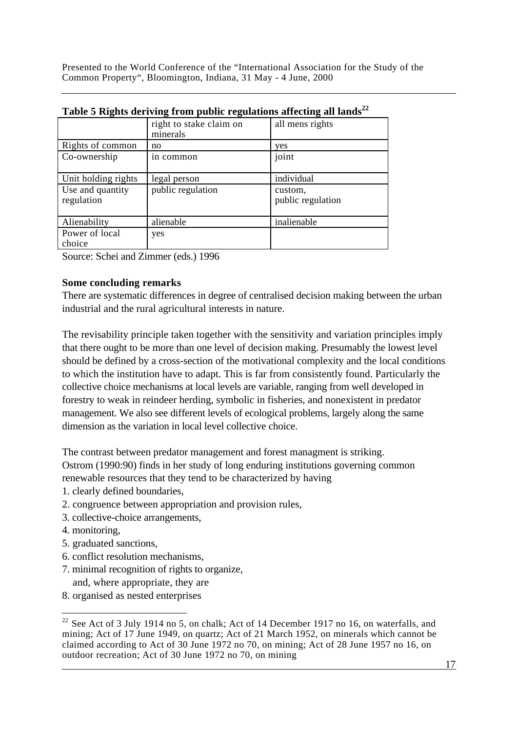|                                | right to stake claim on<br>minerals | all mens rights              |
|--------------------------------|-------------------------------------|------------------------------|
| Rights of common               | no                                  | yes                          |
| Co-ownership                   | in common                           | joint                        |
| Unit holding rights            | legal person                        | individual                   |
| Use and quantity<br>regulation | public regulation                   | custom,<br>public regulation |
| Alienability                   | alienable                           | inalienable                  |
| Power of local<br>choice       | yes                                 |                              |

**Table 5 Rights deriving from public regulations affecting all lands<sup>22</sup>**

Source: Schei and Zimmer (eds.) 1996

### **Some concluding remarks**

There are systematic differences in degree of centralised decision making between the urban industrial and the rural agricultural interests in nature.

The revisability principle taken together with the sensitivity and variation principles imply that there ought to be more than one level of decision making. Presumably the lowest level should be defined by a cross-section of the motivational complexity and the local conditions to which the institution have to adapt. This is far from consistently found. Particularly the collective choice mechanisms at local levels are variable, ranging from well developed in forestry to weak in reindeer herding, symbolic in fisheries, and nonexistent in predator management. We also see different levels of ecological problems, largely along the same dimension as the variation in local level collective choice.

The contrast between predator management and forest managment is striking.

Ostrom (1990:90) finds in her study of long enduring institutions governing common renewable resources that they tend to be characterized by having

- 1. clearly defined boundaries,
- 2. congruence between appropriation and provision rules,
- 3. collective-choice arrangements,
- 4. monitoring,

- 5. graduated sanctions,
- 6. conflict resolution mechanisms,
- 7. minimal recognition of rights to organize, and, where appropriate, they are
- 8. organised as nested enterprises

<sup>&</sup>lt;u>17</u>  $22$  See Act of 3 July 1914 no 5, on chalk; Act of 14 December 1917 no 16, on waterfalls, and mining; Act of 17 June 1949, on quartz; Act of 21 March 1952, on minerals which cannot be claimed according to Act of 30 June 1972 no 70, on mining; Act of 28 June 1957 no 16, on outdoor recreation; Act of 30 June 1972 no 70, on mining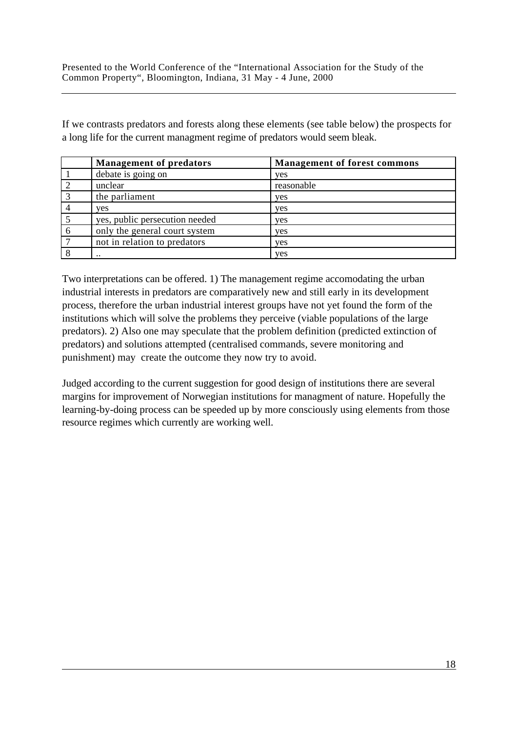If we contrasts predators and forests along these elements (see table below) the prospects for a long life for the current managment regime of predators would seem bleak.

|   | <b>Management of predators</b> | <b>Management of forest commons</b> |
|---|--------------------------------|-------------------------------------|
|   | debate is going on             | <b>ves</b>                          |
|   | unclear                        | reasonable                          |
|   | the parliament                 | yes                                 |
|   | ves                            | yes                                 |
|   | yes, public persecution needed | <b>ves</b>                          |
| 6 | only the general court system  | yes                                 |
|   | not in relation to predators   | yes                                 |
|   | $\cdot$                        | ves                                 |

Two interpretations can be offered. 1) The management regime accomodating the urban industrial interests in predators are comparatively new and still early in its development process, therefore the urban industrial interest groups have not yet found the form of the institutions which will solve the problems they perceive (viable populations of the large predators). 2) Also one may speculate that the problem definition (predicted extinction of predators) and solutions attempted (centralised commands, severe monitoring and punishment) may create the outcome they now try to avoid.

Judged according to the current suggestion for good design of institutions there are several margins for improvement of Norwegian institutions for managment of nature. Hopefully the learning-by-doing process can be speeded up by more consciously using elements from those resource regimes which currently are working well.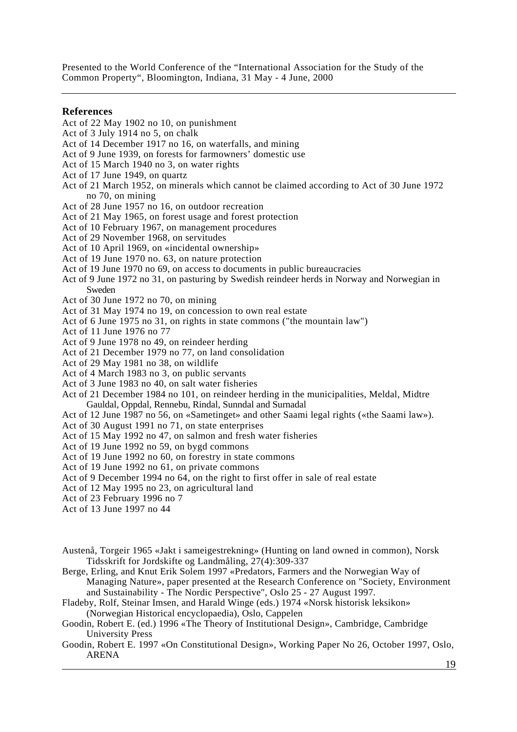#### **References**

- Act of 22 May 1902 no 10, on punishment
- Act of 3 July 1914 no 5, on chalk
- Act of 14 December 1917 no 16, on waterfalls, and mining
- Act of 9 June 1939, on forests for farmowners' domestic use
- Act of 15 March 1940 no 3, on water rights
- Act of 17 June 1949, on quartz
- Act of 21 March 1952, on minerals which cannot be claimed according to Act of 30 June 1972 no 70, on mining
- Act of 28 June 1957 no 16, on outdoor recreation
- Act of 21 May 1965, on forest usage and forest protection
- Act of 10 February 1967, on management procedures
- Act of 29 November 1968, on servitudes
- Act of 10 April 1969, on «incidental ownership»
- Act of 19 June 1970 no. 63, on nature protection
- Act of 19 June 1970 no 69, on access to documents in public bureaucracies
- Act of 9 June 1972 no 31, on pasturing by Swedish reindeer herds in Norway and Norwegian in Sweden
- Act of 30 June 1972 no 70, on mining
- Act of 31 May 1974 no 19, on concession to own real estate
- Act of 6 June 1975 no 31, on rights in state commons ("the mountain law")
- Act of 11 June 1976 no 77
- Act of 9 June 1978 no 49, on reindeer herding
- Act of 21 December 1979 no 77, on land consolidation
- Act of 29 May 1981 no 38, on wildlife
- Act of 4 March 1983 no 3, on public servants
- Act of 3 June 1983 no 40, on salt water fisheries
- Act of 21 December 1984 no 101, on reindeer herding in the municipalities, Meldal, Midtre Gauldal, Oppdal, Rennebu, Rindal, Sunndal and Surnadal
- Act of 12 June 1987 no 56, on «Sametinget» and other Saami legal rights («the Saami law»).
- Act of 30 August 1991 no 71, on state enterprises
- Act of 15 May 1992 no 47, on salmon and fresh water fisheries
- Act of 19 June 1992 no 59, on bygd commons
- Act of 19 June 1992 no 60, on forestry in state commons
- Act of 19 June 1992 no 61, on private commons
- Act of 9 December 1994 no 64, on the right to first offer in sale of real estate
- Act of 12 May 1995 no 23, on agricultural land
- Act of 23 February 1996 no 7
- Act of 13 June 1997 no 44
- Austenå, Torgeir 1965 «Jakt i sameigestrekning» (Hunting on land owned in common), Norsk Tidsskrift for Jordskifte og Landmåling, 27(4):309-337
- Berge, Erling, and Knut Erik Solem 1997 «Predators, Farmers and the Norwegian Way of Managing Nature», paper presented at the Research Conference on "Society, Environment and Sustainability - The Nordic Perspective", Oslo 25 - 27 August 1997.
- Fladeby, Rolf, Steinar Imsen, and Harald Winge (eds.) 1974 «Norsk historisk leksikon» (Norwegian Historical encyclopaedia), Oslo, Cappelen
- Goodin, Robert E. (ed.) 1996 «The Theory of Institutional Design», Cambridge, Cambridge University Press
- 19 Goodin, Robert E. 1997 «On Constitutional Design», Working Paper No 26, October 1997, Oslo, ARENA